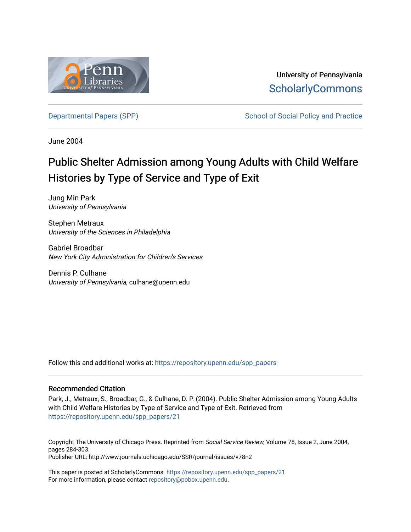

University of Pennsylvania **ScholarlyCommons** 

[Departmental Papers \(SPP\)](https://repository.upenn.edu/spp_papers) School of Social Policy and Practice

June 2004

## Public Shelter Admission among Young Adults with Child Welfare Histories by Type of Service and Type of Exit

Jung Min Park University of Pennsylvania

Stephen Metraux University of the Sciences in Philadelphia

Gabriel Broadbar New York City Administration for Children's Services

Dennis P. Culhane University of Pennsylvania, culhane@upenn.edu

Follow this and additional works at: [https://repository.upenn.edu/spp\\_papers](https://repository.upenn.edu/spp_papers?utm_source=repository.upenn.edu%2Fspp_papers%2F21&utm_medium=PDF&utm_campaign=PDFCoverPages) 

#### Recommended Citation

Park, J., Metraux, S., Broadbar, G., & Culhane, D. P. (2004). Public Shelter Admission among Young Adults with Child Welfare Histories by Type of Service and Type of Exit. Retrieved from [https://repository.upenn.edu/spp\\_papers/21](https://repository.upenn.edu/spp_papers/21?utm_source=repository.upenn.edu%2Fspp_papers%2F21&utm_medium=PDF&utm_campaign=PDFCoverPages)

Copyright The University of Chicago Press. Reprinted from Social Service Review, Volume 78, Issue 2, June 2004, pages 284-303. Publisher URL: http://www.journals.uchicago.edu/SSR/journal/issues/v78n2

This paper is posted at ScholarlyCommons. [https://repository.upenn.edu/spp\\_papers/21](https://repository.upenn.edu/spp_papers/21)  For more information, please contact [repository@pobox.upenn.edu.](mailto:repository@pobox.upenn.edu)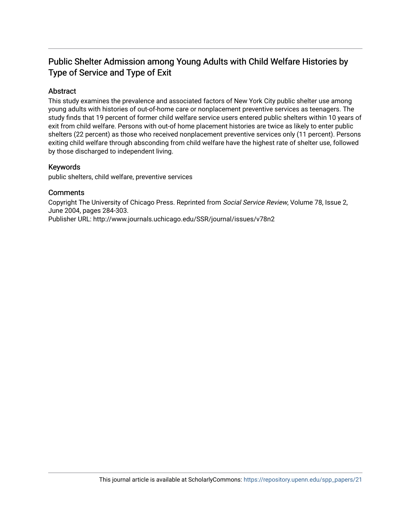## Public Shelter Admission among Young Adults with Child Welfare Histories by Type of Service and Type of Exit

## Abstract

This study examines the prevalence and associated factors of New York City public shelter use among young adults with histories of out-of-home care or nonplacement preventive services as teenagers. The study finds that 19 percent of former child welfare service users entered public shelters within 10 years of exit from child welfare. Persons with out-of home placement histories are twice as likely to enter public shelters (22 percent) as those who received nonplacement preventive services only (11 percent). Persons exiting child welfare through absconding from child welfare have the highest rate of shelter use, followed by those discharged to independent living.

## Keywords

public shelters, child welfare, preventive services

### **Comments**

Copyright The University of Chicago Press. Reprinted from Social Service Review, Volume 78, Issue 2, June 2004, pages 284-303.

Publisher URL: http://www.journals.uchicago.edu/SSR/journal/issues/v78n2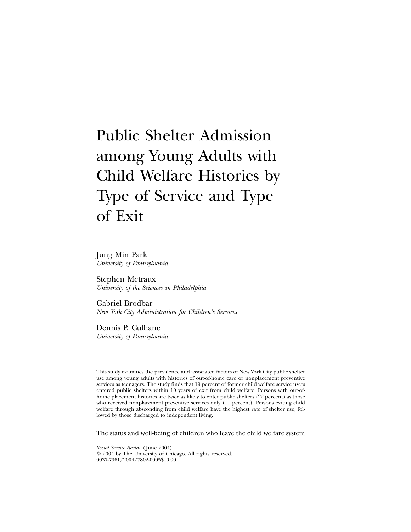# Public Shelter Admission among Young Adults with Child Welfare Histories by Type of Service and Type of Exit

Jung Min Park *University of Pennsylvania*

Stephen Metraux *University of the Sciences in Philadelphia*

Gabriel Brodbar *New York City Administration for Children's Services*

Dennis P. Culhane *University of Pennsylvania*

This study examines the prevalence and associated factors of New York City public shelter use among young adults with histories of out-of-home care or nonplacement preventive services as teenagers. The study finds that 19 percent of former child welfare service users entered public shelters within 10 years of exit from child welfare. Persons with out-ofhome placement histories are twice as likely to enter public shelters (22 percent) as those who received nonplacement preventive services only (11 percent). Persons exiting child welfare through absconding from child welfare have the highest rate of shelter use, followed by those discharged to independent living.

The status and well-being of children who leave the child welfare system

*Social Service Review* ( June 2004). 2004 by The University of Chicago. All rights reserved. 0037-7961/2004/7802-0005\$10.00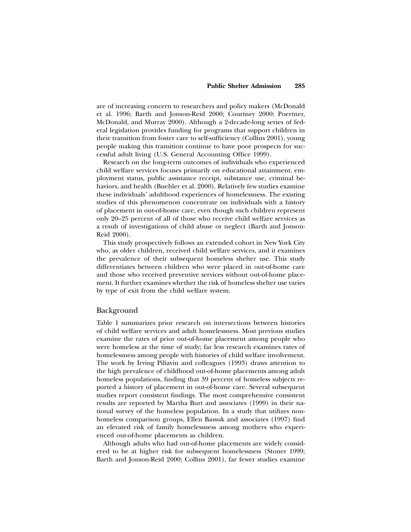are of increasing concern to researchers and policy makers (McDonald et al. 1996; Barth and Jonson-Reid 2000; Courtney 2000; Poertner, McDonald, and Murray 2000). Although a 2-decade-long series of federal legislation provides funding for programs that support children in their transition from foster care to self-sufficiency (Collins 2001), young people making this transition continue to have poor prospects for successful adult living (U.S. General Accounting Office 1999).

Research on the long-term outcomes of individuals who experienced child welfare services focuses primarily on educational attainment, employment status, public assistance receipt, substance use, criminal behaviors, and health (Buehler et al. 2000). Relatively few studies examine these individuals' adulthood experiences of homelessness. The existing studies of this phenomenon concentrate on individuals with a history of placement in out-of-home care, even though such children represent only 20–25 percent of all of those who receive child welfare services as a result of investigations of child abuse or neglect (Barth and Jonson-Reid 2000).

This study prospectively follows an extended cohort in New York City who, as older children, received child welfare services, and it examines the prevalence of their subsequent homeless shelter use. This study differentiates between children who were placed in out-of-home care and those who received preventive services without out-of-home placement. It further examines whether the risk of homeless shelter use varies by type of exit from the child welfare system.

#### Background

Table 1 summarizes prior research on intersections between histories of child welfare services and adult homelessness. Most previous studies examine the rates of prior out-of-home placement among people who were homeless at the time of study; far less research examines rates of homelessness among people with histories of child welfare involvement. The work by Irving Piliavin and colleagues (1993) draws attention to the high prevalence of childhood out-of-home placements among adult homeless populations, finding that 39 percent of homeless subjects reported a history of placement in out-of-home care. Several subsequent studies report consistent findings. The most comprehensive consistent results are reported by Martha Burt and associates (1999) in their national survey of the homeless population. In a study that utilizes nonhomeless comparison groups, Ellen Bassuk and associates (1997) find an elevated risk of family homelessness among mothers who experienced out-of-home placements as children.

Although adults who had out-of-home placements are widely considered to be at higher risk for subsequent homelessness (Stoner 1999; Barth and Jonson-Reid 2000; Collins 2001), far fewer studies examine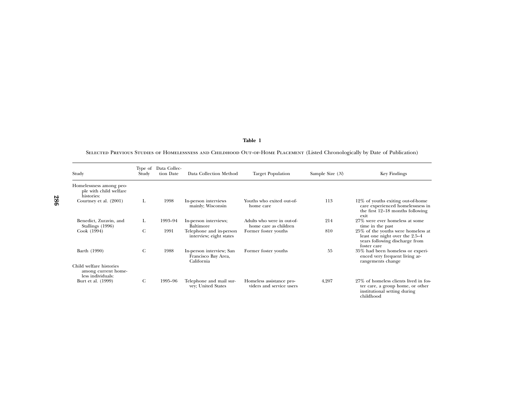| н<br>ш |  |
|--------|--|
|--------|--|

Selected Previous Studies of Homelessness and Childhood Out-of-Home Placement (Listed Chronologically by Date of Publication)

| Study                                                               | Type of<br>Study | Data Collec-<br>tion Date | Data Collection Method                                        | <b>Target Population</b>                             | Sample Size $(N)$ | <b>Key Findings</b>                                                                                                    |
|---------------------------------------------------------------------|------------------|---------------------------|---------------------------------------------------------------|------------------------------------------------------|-------------------|------------------------------------------------------------------------------------------------------------------------|
| Homelessness among peo-<br>ple with child welfare<br>histories:     |                  |                           |                                                               |                                                      |                   |                                                                                                                        |
| Courtney et al. (2001)                                              | L                | 1998                      | In-person interviews<br>mainly; Wisconsin                     | Youths who exited out-of-<br>home care               | 113               | 12% of youths exiting out-of-home<br>care experienced homelessness in<br>the first $12-18$ months following<br>exit    |
| Benedict, Zuravin, and<br>Stallings (1996)                          | L                | 1993–94                   | In-person interviews;<br>Baltimore                            | Adults who were in out-of-<br>home care as children  | 214               | 27% were ever homeless at some<br>time in the past                                                                     |
| Cook (1994)                                                         | C                | 1991                      | Telephone and in-person<br>interview; eight states            | Former foster youths                                 | 810               | 25% of the youths were homeless at<br>least one night over the 2.5-4<br>years following discharge from<br>foster care  |
| Barth (1990)                                                        | C                | 1988                      | In-person interview; San<br>Francisco Bay Area,<br>California | Former foster youths                                 | 55                | 35% had been homeless or experi-<br>enced very frequent living ar-<br>rangements change                                |
| Child welfare histories<br>among current home-<br>less individuals: |                  |                           |                                                               |                                                      |                   |                                                                                                                        |
| Burt et al. (1999)                                                  | C                | 1995–96                   | Telephone and mail sur-<br>vey; United States                 | Homeless assistance pro-<br>viders and service users | 4,207             | 27% of homeless clients lived in fos-<br>ter care, a group home, or other<br>institutional setting during<br>childhood |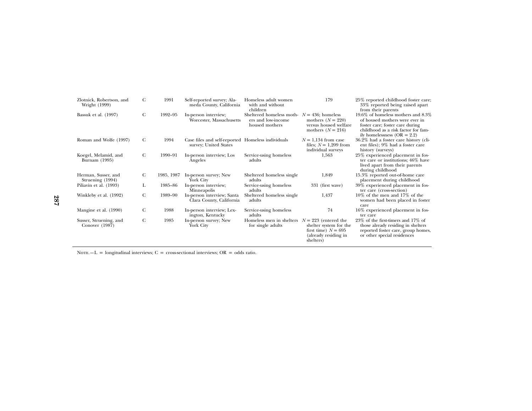| Zlotnick, Robertson, and<br>Wright (1999)  | C           | 1991       | Self-reported survey; Ala-<br>meda County, California                      | Homeless adult women<br>with and without<br>children                                  | 179                                                                                  | 25% reported childhood foster care;<br>33% reported being raised apart<br>from their parents                                                                                         |
|--------------------------------------------|-------------|------------|----------------------------------------------------------------------------|---------------------------------------------------------------------------------------|--------------------------------------------------------------------------------------|--------------------------------------------------------------------------------------------------------------------------------------------------------------------------------------|
| Bassuk et al. (1997)                       | $\mathbf C$ | 1992-95    | In-person interview;<br>Worcester, Massachusetts                           | Sheltered homeless moth- $N = 436$ ; homeless<br>ers and low-income<br>housed mothers | mothers $(N = 220)$<br>versus housed welfare<br>mothers $(N = 216)$                  | 19.6% of homeless mothers and $8.3\%$<br>of housed mothers were ever in<br>foster care; foster care during<br>childhood as a risk factor for fam-<br>ily homelessness ( $OR = 2.2$ ) |
| Roman and Wolfe (1997)                     | $\mathbf C$ | 1994       | Case files and self-reported Homeless individuals<br>survey; United States |                                                                                       | $N = 1,134$ from case<br>files; $N = 1,209$ from<br>individual surveys               | 36.2% had a foster care history (cli-<br>ent files); 9% had a foster care<br>history (surveys)                                                                                       |
| Koegel, Melamid, and<br>Burnam (1995)      | C           | 1990-91    | In-person interview; Los<br>Angeles                                        | Service-using homeless<br>adults                                                      | 1,563                                                                                | 25% experienced placement in fos-<br>ter care or institutions; 46% have<br>lived apart from their parents<br>during childhood                                                        |
| Herman, Susser, and<br>Struening (1994)    | C           | 1985, 1987 | In-person survey; New<br>York City                                         | Sheltered homeless single<br>adults                                                   | 1,849                                                                                | 15.3% reported out-of-home care<br>placement during childhood                                                                                                                        |
| Piliavin et al. (1993)                     | L           | 1985–86    | In-person interview;<br>Minneapolis                                        | Service-using homeless<br>adults                                                      | 331 (first wave)                                                                     | 39% experienced placement in fos-<br>ter care (cross-section)                                                                                                                        |
| Winkleby et al. (1992)                     | C           | 1989-90    | In-person interview; Santa<br>Clara County, California                     | Sheltered homeless single<br>adults                                                   | 1,437                                                                                | $10\%$ of the men and $17\%$ of the<br>women had been placed in foster<br>care                                                                                                       |
| Mangine et al. (1990)                      | C           | 1988       | In-person interview; Lex-<br>ington, Kentucky                              | Service-using homeless<br>adults                                                      | 74                                                                                   | 16% experienced placement in fos-<br>ter care                                                                                                                                        |
| Susser, Struening, and<br>Conover $(1987)$ | C           | 1985       | In-person survey; New<br>York City                                         | Homeless men in shelters $N = 223$ (entered the<br>for single adults                  | shelter system for the<br>first time) $N = 695$<br>(already residing in<br>shelters) | 23% of the first-timers and 17% of<br>those already residing in shelters<br>reported foster care, group homes,<br>or other special residences                                        |

Note.—L = longitudinal interviews; C = cross-sectional interviews; OR = odds ratio.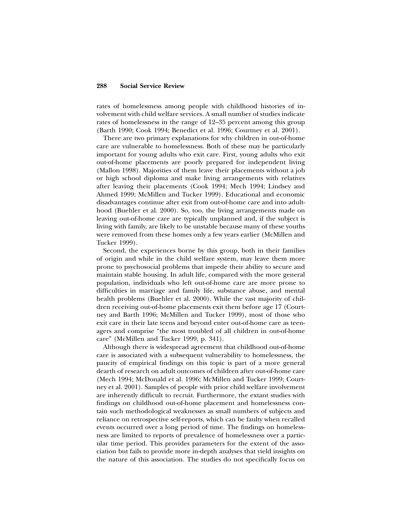rates of homelessness among people with childhood histories of involvement with child welfare services. A small number of studies indicate rates of homelessness in the range of 12–35 percent among this group (Barth 1990; Cook 1994; Benedict et al. 1996; Courtney et al. 2001).

There are two primary explanations for why children in out-of-home care are vulnerable to homelessness. Both of these may be particularly important for young adults who exit care. First, young adults who exit out-of-home placements are poorly prepared for independent living (Mallon 1998). Majorities of them leave their placements without a job or high school diploma and make living arrangements with relatives after leaving their placements (Cook 1994; Mech 1994; Lindsey and Ahmed 1999; McMillen and Tucker 1999). Educational and economic disadvantages continue after exit from out-of-home care and into adulthood (Buehler et al. 2000). So, too, the living arrangements made on leaving out-of-home care are typically unplanned and, if the subject is living with family, are likely to be unstable because many of these youths were removed from these homes only a few years earlier (McMillen and Tucker 1999).

Second, the experiences borne by this group, both in their families of origin and while in the child welfare system, may leave them more prone to psychosocial problems that impede their ability to secure and maintain stable housing. In adult life, compared with the more general population, individuals who left out-of-home care are more prone to difficulties in marriage and family life, substance abuse, and mental health problems (Buehler et al. 2000). While the vast majority of children receiving out-of-home placements exit them before age 17 (Courtney and Barth 1996; McMillen and Tucker 1999), most of those who exit care in their late teens and beyond enter out-of-home care as teenagers and comprise "the most troubled of all children in out-of-home care" (McMillen and Tucker 1999, p. 341).

Although there is widespread agreement that childhood out-of-home care is associated with a subsequent vulnerability to homelessness, the paucity of empirical findings on this topic is part of a more general dearth of research on adult outcomes of children after out-of-home care (Mech 1994; McDonald et al. 1996; McMillen and Tucker 1999; Courtney et al. 2001). Samples of people with prior child welfare involvement are inherently difficult to recruit. Furthermore, the extant studies with findings on childhood out-of-home placement and homelessness contain such methodological weaknesses as small numbers of subjects and reliance on retrospective self-reports, which can be faulty when recalled events occurred over a long period of time. The findings on homelessness are limited to reports of prevalence of homelessness over a particular time period. This provides parameters for the extent of the association but fails to provide more in-depth analyses that yield insights on the nature of this association. The studies do not specifically focus on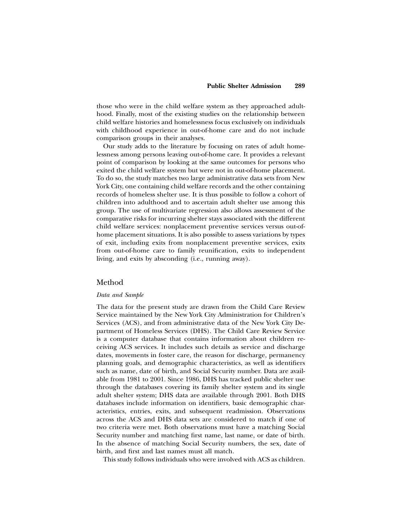those who were in the child welfare system as they approached adulthood. Finally, most of the existing studies on the relationship between child welfare histories and homelessness focus exclusively on individuals with childhood experience in out-of-home care and do not include comparison groups in their analyses.

Our study adds to the literature by focusing on rates of adult homelessness among persons leaving out-of-home care. It provides a relevant point of comparison by looking at the same outcomes for persons who exited the child welfare system but were not in out-of-home placement. To do so, the study matches two large administrative data sets from New York City, one containing child welfare records and the other containing records of homeless shelter use. It is thus possible to follow a cohort of children into adulthood and to ascertain adult shelter use among this group. The use of multivariate regression also allows assessment of the comparative risks for incurring shelter stays associated with the different child welfare services: nonplacement preventive services versus out-ofhome placement situations. It is also possible to assess variations by types of exit, including exits from nonplacement preventive services, exits from out-of-home care to family reunification, exits to independent living, and exits by absconding (i.e., running away).

#### Method

#### *Data and Sample*

The data for the present study are drawn from the Child Care Review Service maintained by the New York City Administration for Children's Services (ACS), and from administrative data of the New York City Department of Homeless Services (DHS). The Child Care Review Service is a computer database that contains information about children receiving ACS services. It includes such details as service and discharge dates, movements in foster care, the reason for discharge, permanency planning goals, and demographic characteristics, as well as identifiers such as name, date of birth, and Social Security number. Data are available from 1981 to 2001. Since 1986, DHS has tracked public shelter use through the databases covering its family shelter system and its single adult shelter system; DHS data are available through 2001. Both DHS databases include information on identifiers, basic demographic characteristics, entries, exits, and subsequent readmission. Observations across the ACS and DHS data sets are considered to match if one of two criteria were met. Both observations must have a matching Social Security number and matching first name, last name, or date of birth. In the absence of matching Social Security numbers, the sex, date of birth, and first and last names must all match.

This study follows individuals who were involved with ACS as children.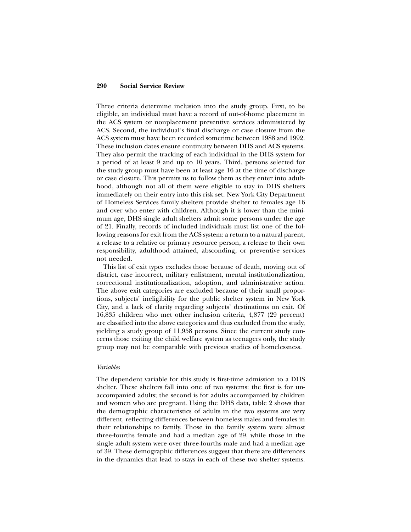Three criteria determine inclusion into the study group. First, to be eligible, an individual must have a record of out-of-home placement in the ACS system or nonplacement preventive services administered by ACS. Second, the individual's final discharge or case closure from the ACS system must have been recorded sometime between 1988 and 1992. These inclusion dates ensure continuity between DHS and ACS systems. They also permit the tracking of each individual in the DHS system for a period of at least 9 and up to 10 years. Third, persons selected for the study group must have been at least age 16 at the time of discharge or case closure. This permits us to follow them as they enter into adulthood, although not all of them were eligible to stay in DHS shelters immediately on their entry into this risk set. New York City Department of Homeless Services family shelters provide shelter to females age 16 and over who enter with children. Although it is lower than the minimum age, DHS single adult shelters admit some persons under the age of 21. Finally, records of included individuals must list one of the following reasons for exit from the ACS system: a return to a natural parent, a release to a relative or primary resource person, a release to their own responsibility, adulthood attained, absconding, or preventive services not needed.

This list of exit types excludes those because of death, moving out of district, case incorrect, military enlistment, mental institutionalization, correctional institutionalization, adoption, and administrative action. The above exit categories are excluded because of their small proportions, subjects' ineligibility for the public shelter system in New York City, and a lack of clarity regarding subjects' destinations on exit. Of 16,835 children who met other inclusion criteria, 4,877 (29 percent) are classified into the above categories and thus excluded from the study, yielding a study group of 11,958 persons. Since the current study concerns those exiting the child welfare system as teenagers only, the study group may not be comparable with previous studies of homelessness.

#### *Variables*

The dependent variable for this study is first-time admission to a DHS shelter. These shelters fall into one of two systems: the first is for unaccompanied adults; the second is for adults accompanied by children and women who are pregnant. Using the DHS data, table 2 shows that the demographic characteristics of adults in the two systems are very different, reflecting differences between homeless males and females in their relationships to family. Those in the family system were almost three-fourths female and had a median age of 29, while those in the single adult system were over three-fourths male and had a median age of 39. These demographic differences suggest that there are differences in the dynamics that lead to stays in each of these two shelter systems.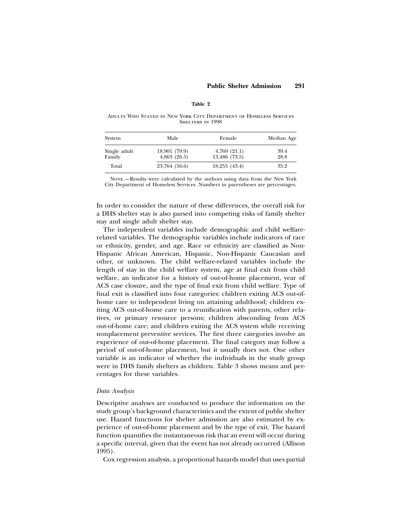| יומו |  |
|------|--|
|------|--|

Adults Who Stayed in New York City Department of Homeless Services SHELTERS IN 1998

| System                 | Male                         | Female                       | Median Age   |
|------------------------|------------------------------|------------------------------|--------------|
| Single adult<br>Family | 18,901 (79.9)<br>4,863(26.5) | 4,769(21.1)<br>13,486 (73.5) | 39.4<br>28.8 |
| Total                  | 23,764 (56.6)                | 18,255 (43.4)                | 35.2         |

Note.—Results were calculated by the authors using data from the New York City Department of Homeless Services. Numbers in parentheses are percentages.

In order to consider the nature of these differences, the overall risk for a DHS shelter stay is also parsed into competing risks of family shelter stay and single adult shelter stay.

The independent variables include demographic and child welfarerelated variables. The demographic variables include indicators of race or ethnicity, gender, and age. Race or ethnicity are classified as Non-Hispanic African American, Hispanic, Non-Hispanic Caucasian and other, or unknown. The child welfare-related variables include the length of stay in the child welfare system, age at final exit from child welfare, an indicator for a history of out-of-home placement, year of ACS case closure, and the type of final exit from child welfare. Type of final exit is classified into four categories: children exiting ACS out-ofhome care to independent living on attaining adulthood; children exiting ACS out-of-home care to a reunification with parents, other relatives, or primary resource persons; children absconding from ACS out-of-home care; and children exiting the ACS system while receiving nonplacement preventive services. The first three categories involve an experience of out-of-home placement. The final category may follow a period of out-of-home placement, but it usually does not. One other variable is an indicator of whether the individuals in the study group were in DHS family shelters as children. Table 3 shows means and percentages for these variables.

#### *Data Analysis*

Descriptive analyses are conducted to produce the information on the study group's background characteristics and the extent of public shelter use. Hazard functions for shelter admission are also estimated by experience of out-of-home placement and by the type of exit. The hazard function quantifies the instantaneous risk that an event will occur during a specific interval, given that the event has not already occurred (Allison 1995).

Cox regression analysis, a proportional hazards model that uses partial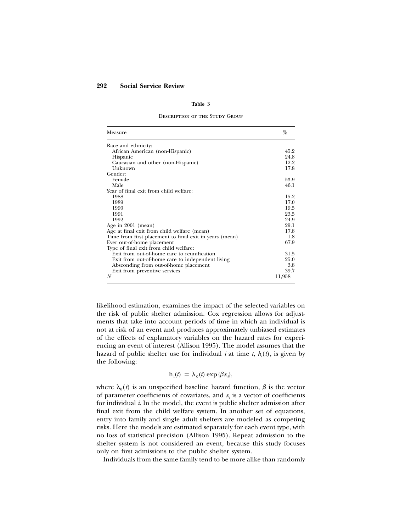#### **Table 3**

Description of the Study Group

| Measure                                                 | %      |
|---------------------------------------------------------|--------|
| Race and ethnicity:                                     |        |
| African American (non-Hispanic)                         | 45.2   |
| Hispanic                                                | 24.8   |
| Caucasian and other (non-Hispanic)                      | 12.2   |
| Unknown                                                 | 17.8   |
| Gender:                                                 |        |
| Female                                                  | 53.9   |
| Male                                                    | 46.1   |
| Year of final exit from child welfare:                  |        |
| 1988                                                    | 15.2   |
| 1989                                                    | 17.0   |
| 1990                                                    | 19.5   |
| 1991                                                    | 23.5   |
| 1992                                                    | 24.9   |
| Age in 2001 (mean)                                      | 29.1   |
| Age at final exit from child welfare (mean)             | 17.8   |
| Time from first placement to final exit in years (mean) | 1.8    |
| Ever out-of-home placement                              | 67.9   |
| Type of final exit from child welfare:                  |        |
| Exit from out-of-home care to reunification             | 31.5   |
| Exit from out-of-home care to independent living        | 25.0   |
| Absconding from out-of-home placement                   | 3.8    |
| Exit from preventive services                           | 39.7   |
| N                                                       | 11,958 |

likelihood estimation, examines the impact of the selected variables on the risk of public shelter admission. Cox regression allows for adjustments that take into account periods of time in which an individual is not at risk of an event and produces approximately unbiased estimates of the effects of explanatory variables on the hazard rates for experiencing an event of interest (Allison 1995). The model assumes that the hazard of public shelter use for individual *i* at time *t*, *hi* (*t*), is given by the following:

#### $h_i(t) = \lambda_0(t) \exp{\{\beta x_i\}},$

where  $\lambda_0(t)$  is an unspecified baseline hazard function,  $\beta$  is the vector of parameter coefficients of covariates, and  $x_i$  is a vector of coefficients for individual *i*. In the model, the event is public shelter admission after final exit from the child welfare system. In another set of equations, entry into family and single adult shelters are modeled as competing risks. Here the models are estimated separately for each event type, with no loss of statistical precision (Allison 1995). Repeat admission to the shelter system is not considered an event, because this study focuses only on first admissions to the public shelter system.

Individuals from the same family tend to be more alike than randomly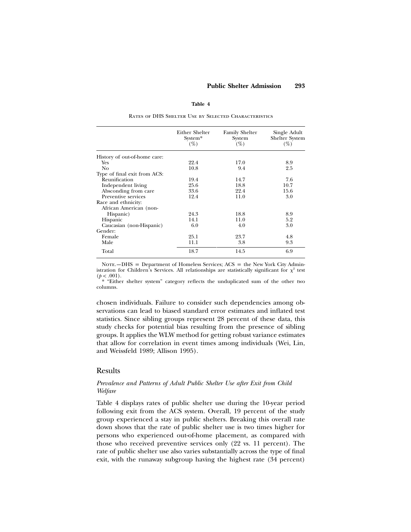#### **Table 4**

Rates of DHS Shelter Use by Selected Characteristics

|                              | Either Shelter<br>System*<br>(%) | <b>Family Shelter</b><br>System<br>$(\%)$ | Single Adult<br>Shelter System<br>$(\%)$ |
|------------------------------|----------------------------------|-------------------------------------------|------------------------------------------|
| History of out-of-home care: |                                  |                                           |                                          |
| Yes                          | 22.4                             | 17.0                                      | 8.9                                      |
|                              |                                  |                                           |                                          |
| N <sub>0</sub>               | 10.8                             | 9.4                                       | 2.5                                      |
| Type of final exit from ACS: |                                  |                                           |                                          |
| Reunification                | 19.4                             | 14.7                                      | 7.6                                      |
| Independent living           | 25.6                             | 18.8                                      | 10.7                                     |
| Absconding from care         | 33.6                             | 22.4                                      | 15.6                                     |
| Preventive services          | 12.4                             | 11.0                                      | 3.0                                      |
| Race and ethnicity:          |                                  |                                           |                                          |
| African American (non-       |                                  |                                           |                                          |
| Hispanic)                    | 24.3                             | 18.8                                      | 8.9                                      |
| Hispanic                     | 14.1                             | 11.0                                      | 5.2                                      |
| Caucasian (non-Hispanic)     | 6.0                              | 4.0                                       | 3.0                                      |
| Gender:                      |                                  |                                           |                                          |
| Female                       | 25.1                             | 23.7                                      | 4.8                                      |
| Male                         | 11.1                             | 3.8                                       | 9.3                                      |
| Total                        | 18.7                             | 14.5                                      | 6.9                                      |

NOTE.  $-DHS = Department of Homeless Services; ACS = the New York City Admin$ istration for Children's Services. All relationships are statistically significant for  $\chi^2$  test  $(p < .001)$ .

\* "Either shelter system" category reflects the unduplicated sum of the other two columns.

chosen individuals. Failure to consider such dependencies among observations can lead to biased standard error estimates and inflated test statistics. Since sibling groups represent 28 percent of these data, this study checks for potential bias resulting from the presence of sibling groups. It applies the WLW method for getting robust variance estimates that allow for correlation in event times among individuals (Wei, Lin, and Weissfeld 1989; Allison 1995).

#### Results

#### *Prevalence and Patterns of Adult Public Shelter Use after Exit from Child Welfare*

Table 4 displays rates of public shelter use during the 10-year period following exit from the ACS system. Overall, 19 percent of the study group experienced a stay in public shelters. Breaking this overall rate down shows that the rate of public shelter use is two times higher for persons who experienced out-of-home placement, as compared with those who received preventive services only (22 vs. 11 percent). The rate of public shelter use also varies substantially across the type of final exit, with the runaway subgroup having the highest rate (34 percent)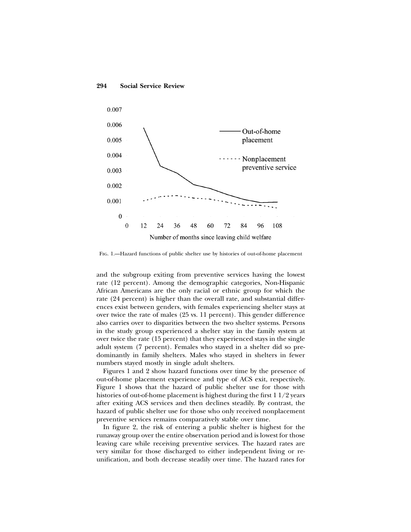

Fig. 1.—Hazard functions of public shelter use by histories of out-of-home placement

and the subgroup exiting from preventive services having the lowest rate (12 percent). Among the demographic categories, Non-Hispanic African Americans are the only racial or ethnic group for which the rate (24 percent) is higher than the overall rate, and substantial differences exist between genders, with females experiencing shelter stays at over twice the rate of males (25 vs. 11 percent). This gender difference also carries over to disparities between the two shelter systems. Persons in the study group experienced a shelter stay in the family system at over twice the rate (15 percent) that they experienced stays in the single adult system (7 percent). Females who stayed in a shelter did so predominantly in family shelters. Males who stayed in shelters in fewer numbers stayed mostly in single adult shelters.

Figures 1 and 2 show hazard functions over time by the presence of out-of-home placement experience and type of ACS exit, respectively. Figure 1 shows that the hazard of public shelter use for those with histories of out-of-home placement is highest during the first 1 1/2 years after exiting ACS services and then declines steadily. By contrast, the hazard of public shelter use for those who only received nonplacement preventive services remains comparatively stable over time.

In figure 2, the risk of entering a public shelter is highest for the runaway group over the entire observation period and is lowest for those leaving care while receiving preventive services. The hazard rates are very similar for those discharged to either independent living or reunification, and both decrease steadily over time. The hazard rates for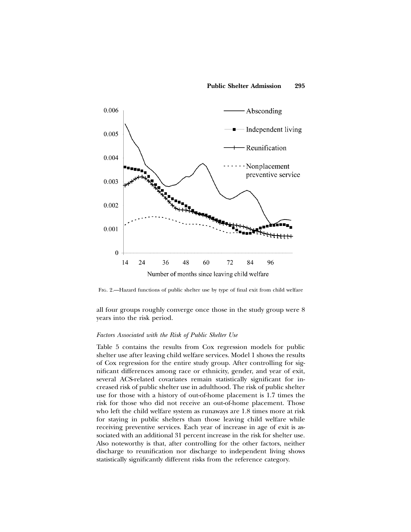

Fig. 2.—Hazard functions of public shelter use by type of final exit from child welfare

all four groups roughly converge once those in the study group were 8 years into the risk period.

#### *Factors Associated with the Risk of Public Shelter Use*

Table 5 contains the results from Cox regression models for public shelter use after leaving child welfare services. Model 1 shows the results of Cox regression for the entire study group. After controlling for significant differences among race or ethnicity, gender, and year of exit, several ACS-related covariates remain statistically significant for increased risk of public shelter use in adulthood. The risk of public shelter use for those with a history of out-of-home placement is 1.7 times the risk for those who did not receive an out-of-home placement. Those who left the child welfare system as runaways are 1.8 times more at risk for staying in public shelters than those leaving child welfare while receiving preventive services. Each year of increase in age of exit is associated with an additional 31 percent increase in the risk for shelter use. Also noteworthy is that, after controlling for the other factors, neither discharge to reunification nor discharge to independent living shows statistically significantly different risks from the reference category.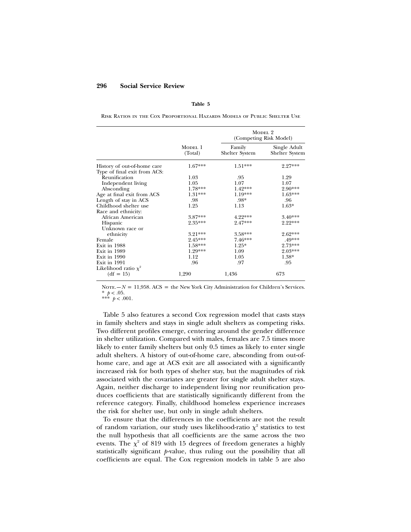#### **Table 5**

Risk Ratios in the Cox Proportional Hazards Models of Public Shelter Use

|                              | MODEL 1<br>(Total) | MODEL 2<br>(Competing Risk Model) |                                |  |
|------------------------------|--------------------|-----------------------------------|--------------------------------|--|
|                              |                    | Family<br>Shelter System          | Single Adult<br>Shelter System |  |
| History of out-of-home care  | $1.67***$          | $1.51***$                         | $2.27***$                      |  |
| Type of final exit from ACS: |                    |                                   |                                |  |
| Reunification                | 1.03               | .95                               | 1.29                           |  |
| Independent living           | 1.05               | 1.07                              | 1.07                           |  |
| Absconding                   | $1.78***$          | $1.42***$                         | 2.90***                        |  |
| Age at final exit from ACS   | $1.31***$          | $1.19***$                         | $1.63***$                      |  |
| Length of stay in ACS        | .98                | $.98*$                            | .96                            |  |
| Childhood shelter use        | 1.25               | 1.13                              | $1.63*$                        |  |
| Race and ethnicity:          |                    |                                   |                                |  |
| African American             | 3.87***            | 4.22***                           | $3.40***$                      |  |
| Hispanic                     | $2.35***$          | $2.47***$                         | $2.22***$                      |  |
| Unknown race or              |                    |                                   |                                |  |
| ethnicity                    | $3.21***$          | $3.58***$                         | $2.62***$                      |  |
| Female                       | $2.45***$          | $7.46***$                         | .49***                         |  |
| Exit in 1988                 | $1.58***$          | $1.25*$                           | $2.73***$                      |  |
| Exit in 1989                 | 1.29***            | 1.09                              | $2.03***$                      |  |
| Exit in 1990                 | 1.12               | 1.05                              | $1.38*$                        |  |
| Exit in 1991                 | .96                | .97                               | .95                            |  |
| Likelihood ratio $\chi^2$    |                    |                                   |                                |  |
| $(df = 15)$                  | 1,290              | 1,436                             | 673                            |  |

NOTE.  $-N = 11,958$ . ACS = the New York City Administration for Children's Services.  $*$   $p < .05$ . \*\*\*  $p < .001$ .

Table 5 also features a second Cox regression model that casts stays in family shelters and stays in single adult shelters as competing risks. Two different profiles emerge, centering around the gender difference in shelter utilization. Compared with males, females are 7.5 times more likely to enter family shelters but only 0.5 times as likely to enter single adult shelters. A history of out-of-home care, absconding from out-ofhome care, and age at ACS exit are all associated with a significantly increased risk for both types of shelter stay, but the magnitudes of risk associated with the covariates are greater for single adult shelter stays. Again, neither discharge to independent living nor reunification produces coefficients that are statistically significantly different from the reference category. Finally, childhood homeless experience increases the risk for shelter use, but only in single adult shelters.

To ensure that the differences in the coefficients are not the result of random variation, our study uses likelihood-ratio  $\chi^2$  statistics to test the null hypothesis that all coefficients are the same across the two events. The  $\chi^2$  of 819 with 15 degrees of freedom generates a highly statistically significant *p*-value, thus ruling out the possibility that all coefficients are equal. The Cox regression models in table 5 are also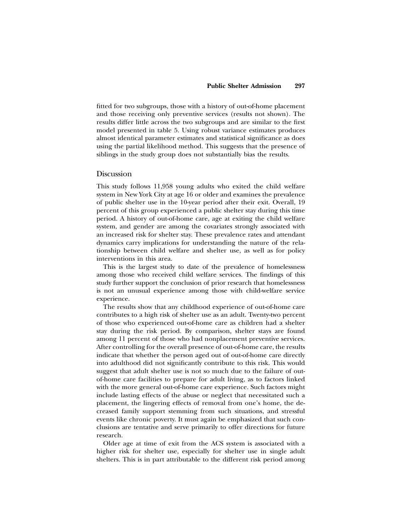fitted for two subgroups, those with a history of out-of-home placement and those receiving only preventive services (results not shown). The results differ little across the two subgroups and are similar to the first model presented in table 5. Using robust variance estimates produces almost identical parameter estimates and statistical significance as does using the partial likelihood method. This suggests that the presence of siblings in the study group does not substantially bias the results.

#### Discussion

This study follows 11,958 young adults who exited the child welfare system in New York City at age 16 or older and examines the prevalence of public shelter use in the 10-year period after their exit. Overall, 19 percent of this group experienced a public shelter stay during this time period. A history of out-of-home care, age at exiting the child welfare system, and gender are among the covariates strongly associated with an increased risk for shelter stay. These prevalence rates and attendant dynamics carry implications for understanding the nature of the relationship between child welfare and shelter use, as well as for policy interventions in this area.

This is the largest study to date of the prevalence of homelessness among those who received child welfare services. The findings of this study further support the conclusion of prior research that homelessness is not an unusual experience among those with child-welfare service experience.

The results show that any childhood experience of out-of-home care contributes to a high risk of shelter use as an adult. Twenty-two percent of those who experienced out-of-home care as children had a shelter stay during the risk period. By comparison, shelter stays are found among 11 percent of those who had nonplacement preventive services. After controlling for the overall presence of out-of-home care, the results indicate that whether the person aged out of out-of-home care directly into adulthood did not significantly contribute to this risk. This would suggest that adult shelter use is not so much due to the failure of outof-home care facilities to prepare for adult living, as to factors linked with the more general out-of-home care experience. Such factors might include lasting effects of the abuse or neglect that necessitated such a placement, the lingering effects of removal from one's home, the decreased family support stemming from such situations, and stressful events like chronic poverty. It must again be emphasized that such conclusions are tentative and serve primarily to offer directions for future research.

Older age at time of exit from the ACS system is associated with a higher risk for shelter use, especially for shelter use in single adult shelters. This is in part attributable to the different risk period among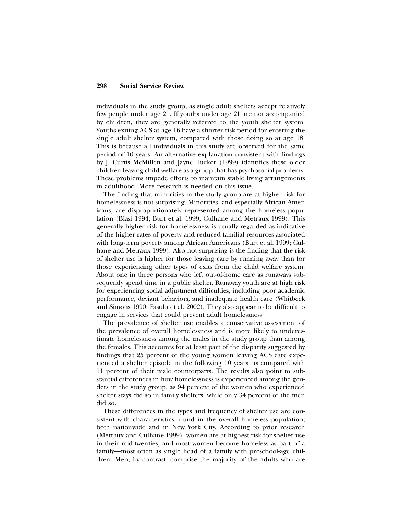individuals in the study group, as single adult shelters accept relatively few people under age 21. If youths under age 21 are not accompanied by children, they are generally referred to the youth shelter system. Youths exiting ACS at age 16 have a shorter risk period for entering the single adult shelter system, compared with those doing so at age 18. This is because all individuals in this study are observed for the same period of 10 years. An alternative explanation consistent with findings by J. Curtis McMillen and Jayne Tucker (1999) identifies these older children leaving child welfare as a group that has psychosocial problems. These problems impede efforts to maintain stable living arrangements in adulthood. More research is needed on this issue.

The finding that minorities in the study group are at higher risk for homelessness is not surprising. Minorities, and especially African Americans, are disproportionately represented among the homeless population (Blasi 1994; Burt et al. 1999; Culhane and Metraux 1999). This generally higher risk for homelessness is usually regarded as indicative of the higher rates of poverty and reduced familial resources associated with long-term poverty among African Americans (Burt et al. 1999; Culhane and Metraux 1999). Also not surprising is the finding that the risk of shelter use is higher for those leaving care by running away than for those experiencing other types of exits from the child welfare system. About one in three persons who left out-of-home care as runaways subsequently spend time in a public shelter. Runaway youth are at high risk for experiencing social adjustment difficulties, including poor academic performance, deviant behaviors, and inadequate health care (Whitbeck and Simons 1990; Fasulo et al. 2002). They also appear to be difficult to engage in services that could prevent adult homelessness.

The prevalence of shelter use enables a conservative assessment of the prevalence of overall homelessness and is more likely to underestimate homelessness among the males in the study group than among the females. This accounts for at least part of the disparity suggested by findings that 25 percent of the young women leaving ACS care experienced a shelter episode in the following 10 years, as compared with 11 percent of their male counterparts. The results also point to substantial differences in how homelessness is experienced among the genders in the study group, as 94 percent of the women who experienced shelter stays did so in family shelters, while only 34 percent of the men did so.

These differences in the types and frequency of shelter use are consistent with characteristics found in the overall homeless population, both nationwide and in New York City. According to prior research (Metraux and Culhane 1999), women are at highest risk for shelter use in their mid-twenties, and most women become homeless as part of a family—most often as single head of a family with preschool-age children. Men, by contrast, comprise the majority of the adults who are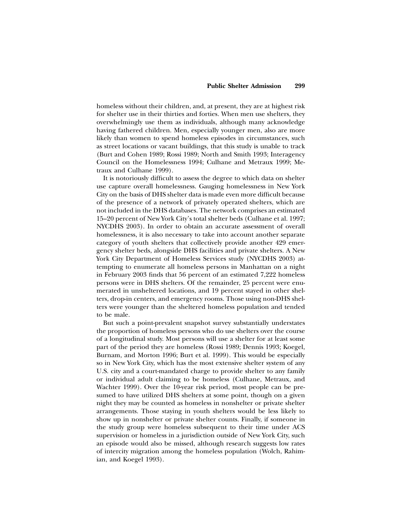homeless without their children, and, at present, they are at highest risk for shelter use in their thirties and forties. When men use shelters, they overwhelmingly use them as individuals, although many acknowledge having fathered children. Men, especially younger men, also are more likely than women to spend homeless episodes in circumstances, such as street locations or vacant buildings, that this study is unable to track (Burt and Cohen 1989; Rossi 1989; North and Smith 1993; Interagency Council on the Homelessness 1994; Culhane and Metraux 1999; Metraux and Culhane 1999).

It is notoriously difficult to assess the degree to which data on shelter use capture overall homelessness. Gauging homelessness in New York City on the basis of DHS shelter data is made even more difficult because of the presence of a network of privately operated shelters, which are not included in the DHS databases. The network comprises an estimated 15–20 percent of New York City's total shelter beds (Culhane et al. 1997; NYCDHS 2003). In order to obtain an accurate assessment of overall homelessness, it is also necessary to take into account another separate category of youth shelters that collectively provide another 429 emergency shelter beds, alongside DHS facilities and private shelters. A New York City Department of Homeless Services study (NYCDHS 2003) attempting to enumerate all homeless persons in Manhattan on a night in February 2003 finds that 56 percent of an estimated 7,222 homeless persons were in DHS shelters. Of the remainder, 25 percent were enumerated in unsheltered locations, and 19 percent stayed in other shelters, drop-in centers, and emergency rooms. Those using non-DHS shelters were younger than the sheltered homeless population and tended to be male.

But such a point-prevalent snapshot survey substantially understates the proportion of homeless persons who do use shelters over the course of a longitudinal study. Most persons will use a shelter for at least some part of the period they are homeless (Rossi 1989; Dennis 1993; Koegel, Burnam, and Morton 1996; Burt et al. 1999). This would be especially so in New York City, which has the most extensive shelter system of any U.S. city and a court-mandated charge to provide shelter to any family or individual adult claiming to be homeless (Culhane, Metraux, and Wachter 1999). Over the 10-year risk period, most people can be presumed to have utilized DHS shelters at some point, though on a given night they may be counted as homeless in nonshelter or private shelter arrangements. Those staying in youth shelters would be less likely to show up in nonshelter or private shelter counts. Finally, if someone in the study group were homeless subsequent to their time under ACS supervision or homeless in a jurisdiction outside of New York City, such an episode would also be missed, although research suggests low rates of intercity migration among the homeless population (Wolch, Rahimian, and Koegel 1993).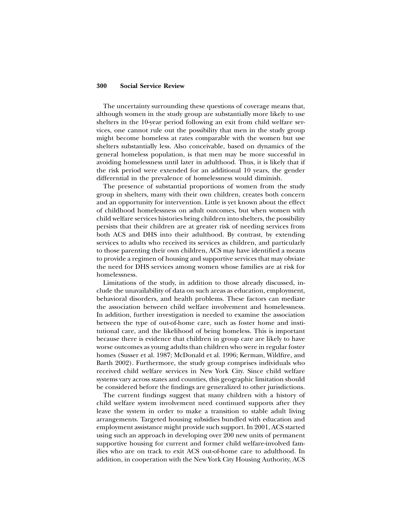The uncertainty surrounding these questions of coverage means that, although women in the study group are substantially more likely to use shelters in the 10-year period following an exit from child welfare services, one cannot rule out the possibility that men in the study group might become homeless at rates comparable with the women but use shelters substantially less. Also conceivable, based on dynamics of the general homeless population, is that men may be more successful in avoiding homelessness until later in adulthood. Thus, it is likely that if the risk period were extended for an additional 10 years, the gender differential in the prevalence of homelessness would diminish.

The presence of substantial proportions of women from the study group in shelters, many with their own children, creates both concern and an opportunity for intervention. Little is yet known about the effect of childhood homelessness on adult outcomes, but when women with child welfare services histories bring children into shelters, the possibility persists that their children are at greater risk of needing services from both ACS and DHS into their adulthood. By contrast, by extending services to adults who received its services as children, and particularly to those parenting their own children, ACS may have identified a means to provide a regimen of housing and supportive services that may obviate the need for DHS services among women whose families are at risk for homelessness.

Limitations of the study, in addition to those already discussed, include the unavailability of data on such areas as education, employment, behavioral disorders, and health problems. These factors can mediate the association between child welfare involvement and homelessness. In addition, further investigation is needed to examine the association between the type of out-of-home care, such as foster home and institutional care, and the likelihood of being homeless. This is important because there is evidence that children in group care are likely to have worse outcomes as young adults than children who were in regular foster homes (Susser et al. 1987; McDonald et al. 1996; Kerman, Wildfire, and Barth 2002). Furthermore, the study group comprises individuals who received child welfare services in New York City. Since child welfare systems vary across states and counties, this geographic limitation should be considered before the findings are generalized to other jurisdictions.

The current findings suggest that many children with a history of child welfare system involvement need continued supports after they leave the system in order to make a transition to stable adult living arrangements. Targeted housing subsidies bundled with education and employment assistance might provide such support. In 2001, ACS started using such an approach in developing over 200 new units of permanent supportive housing for current and former child welfare-involved families who are on track to exit ACS out-of-home care to adulthood. In addition, in cooperation with the New York City Housing Authority, ACS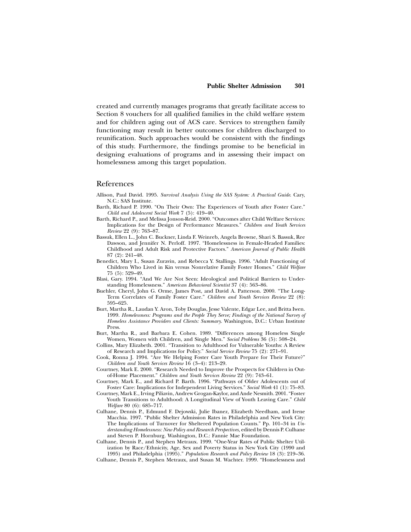created and currently manages programs that greatly facilitate access to Section 8 vouchers for all qualified families in the child welfare system and for children aging out of ACS care. Services to strengthen family functioning may result in better outcomes for children discharged to reunification. Such approaches would be consistent with the findings of this study. Furthermore, the findings promise to be beneficial in designing evaluations of programs and in assessing their impact on homelessness among this target population.

#### References

- Allison, Paul David. 1995. *Survival Analysis Using the SAS System: A Practical Guide*. Cary, N.C.: SAS Institute.
- Barth, Richard P. 1990. "On Their Own: The Experiences of Youth after Foster Care." *Child and Adolescent Social Work* 7 (5): 419–40.
- Barth, Richard P., and Melissa Jonson-Reid. 2000. "Outcomes after Child Welfare Services: Implications for the Design of Performance Measures." *Children and Youth Services Review* 22 (9): 763–87.
- Bassuk, Ellen L., John C. Buckner, Linda F. Weinreb, Angela Browne, Shari S. Bassuk, Ree Dawson, and Jennifer N. Perloff. 1997. "Homelessness in Female-Headed Families: Childhood and Adult Risk and Protective Factors." *American Journal of Public Health* 87 (2): 241–48.
- Benedict, Mary I., Susan Zuravin, and Rebecca Y. Stallings. 1996. "Adult Functioning of Children Who Lived in Kin versus Nonrelative Family Foster Homes." *Child Welfare* 75 (5): 529–49.
- Blasi, Gary. 1994. "And We Are Not Seen: Ideological and Political Barriers to Understanding Homelessness." *American Behavioral Scientist* 37 (4): 563–86.
- Buehler, Cheryl, John G. Orme, James Post, and David A. Patterson. 2000. "The Long-Term Correlates of Family Foster Care." *Children and Youth Services Review* 22 (8): 595–625.
- Burt, Martha R., Laudan Y. Aron, Toby Douglas, Jesse Valente, Edgar Lee, and Britta Iwen. 1999. *Homelessness: Programs and the People They Serve; Findings of the National Survey of Homeless Assistance Providers and Clients: Summary*. Washington, D.C.: Urban Institute Press.
- Burt, Martha R., and Barbara E. Cohen. 1989. "Differences among Homeless Single Women, Women with Children, and Single Men." *Social Problems* 36 (5): 508–24.
- Collins, Mary Elizabeth. 2001. "Transition to Adulthood for Vulnerable Youths: A Review of Research and Implications for Policy." *Social Service Review* 75 (2): 271–91.
- Cook, Ronna J. 1994. "Are We Helping Foster Care Youth Prepare for Their Future?" *Children and Youth Services Review* 16 (3–4): 213–29.
- Courtney, Mark E. 2000. "Research Needed to Improve the Prospects for Children in Outof-Home Placement." *Children and Youth Services Review* 22 (9): 743–61.
- Courtney, Mark E., and Richard P. Barth. 1996. "Pathways of Older Adolescents out of Foster Care: Implications for Independent Living Services." *Social Work* 41 (1): 75–83.
- Courtney, Mark E., Irving Piliavin, Andrew Grogan-Kaylor, and Ande Nesmith. 2001. "Foster Youth Transitions to Adulthood: A Longitudinal View of Youth Leaving Care." *Child Welfare* 80 (6): 685–717.
- Culhane, Dennis P., Edmund F. Dejowski, Julie Ibanez, Elizabeth Needham, and Irene Macchia. 1997. "Public Shelter Admission Rates in Philadelphia and New York City: The Implications of Turnover for Sheltered Population Counts." Pp. 101–34 in *Understanding Homelessness: New Policy and Research Perspectives,* edited by Dennis P. Culhane and Steven P. Hornburg. Washington, D.C.: Fannie Mae Foundation.
- Culhane, Dennis P., and Stephen Metraux. 1999. "One-Year Rates of Public Shelter Utilization by Race/Ethnicity, Age, Sex and Poverty Status in New York City (1990 and 1995) and Philadelphia (1995)." *Population Research and Policy Review* 18 (3): 219–36.
- Culhane, Dennis P., Stephen Metraux, and Susan M. Wachter. 1999. "Homelessness and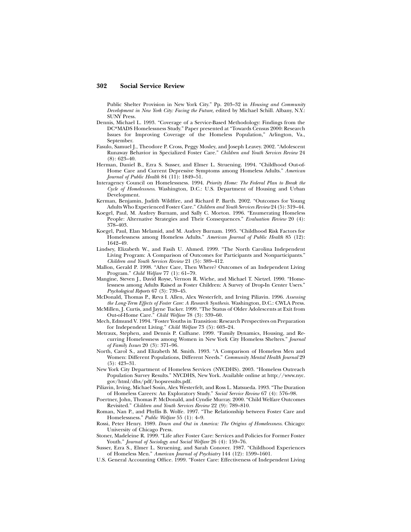Public Shelter Provision in New York City." Pp. 203–32 in *Housing and Community Development in New York City: Facing the Future,* edited by Michael Schill. Albany, N.Y.: SUNY Press.

- Dennis, Michael L. 1993. "Coverage of a Service-Based Methodology: Findings from the DC\*MADS Homelessness Study." Paper presented at "Towards Census 2000: Research Issues for Improving Coverage of the Homeless Population," Arlington, Va., September.
- Fasulo, Samuel J., Theodore P. Cross, Peggy Mosley, and Joseph Leavey. 2002. "Adolescent Runaway Behavior in Specialized Foster Care." *Children and Youth Services Review* 24  $(8): 623 - 40.$
- Herman, Daniel B., Ezra S. Susser, and Elmer L. Struening. 1994. "Childhood Out-of-Home Care and Current Depressive Symptoms among Homeless Adults." *American Journal of Public Health* 84 (11): 1849–51.
- Interagency Council on Homelessness. 1994. *Priority Home: The Federal Plan to Break the Cycle of Homelessness*. Washington, D.C.: U.S. Department of Housing and Urban Development.
- Kerman, Benjamin, Judith Wildfire, and Richard P. Barth. 2002. "Outcomes for Young Adults Who Experienced Foster Care." *Children and Youth Services Review* 24 (5): 319–44.
- Koegel, Paul, M. Audrey Burnam, and Sally C. Morton. 1996. "Enumerating Homeless People: Alternative Strategies and Their Consequences." *Evaluation Review* 20 (4): 378–403.
- Koegel, Paul, Elan Melamid, and M. Audrey Burnam. 1995. "Childhood Risk Factors for Homelessness among Homeless Adults." *American Journal of Public Health* 85 (12): 1642–49.
- Lindsey, Elizabeth W., and Fasih U. Ahmed. 1999. "The North Carolina Independent Living Program: A Comparison of Outcomes for Participants and Nonparticipants." *Children and Youth Services Review* 21 (5): 389–412.
- Mallon, Gerald P. 1998. "After Care, Then Where? Outcomes of an Independent Living Program." *Child Welfare* 77 (1): 61–79.
- Mangine, Steven J., David Royse, Vernon R. Wiehe, and Michael T. Nietzel. 1990. "Homelessness among Adults Raised as Foster Children: A Survey of Drop-In Center Users." *Psychological Reports* 67 (3): 739–45.
- McDonald, Thomas P., Reva I. Allen, Alex Westerfelt, and Irving Piliavin. 1996. *Assessing the Long-Term Effects of Foster Care: A Research Synthesis*. Washington, D.C.: CWLA Press.
- McMillen, J. Curtis, and Jayne Tucker. 1999. "The Status of Older Adolescents at Exit from Out-of-Home Care." *Child Welfare* 78 (3): 339–60.
- Mech, Edmund V. 1994. "Foster Youths in Transition: Research Perspectives on Preparation for Independent Living." *Child Welfare* 73 (5): 603–24.
- Metraux, Stephen, and Dennis P. Culhane. 1999. "Family Dynamics, Housing, and Recurring Homelessness among Women in New York City Homeless Shelters." *Journal of Family Issues* 20 (3): 371–96.
- North, Carol S., and Elizabeth M. Smith. 1993. "A Comparison of Homeless Men and Women: Different Populations, Different Needs." *Community Mental Health Journal* 29 (5): 423–31.
- New York City Department of Homeless Services (NYCDHS). 2003. "Homeless Outreach Population Survey Results." NYCDHS, New York. Available online at http://www.nyc. gov/html/dhs/pdf/hopsresults.pdf.
- Piliavin, Irving, Michael Sosin, Alex Westerfelt, and Ross L. Matsueda. 1993. "The Duration of Homeless Careers: An Exploratory Study." *Social Service Review* 67 (4): 576–98.
- Poertner, John, Thomas P. McDonald, and Cyndie Murray. 2000. "Child Welfare Outcomes Revisited." *Children and Youth Services Review* 22 (9): 789–810.
- Roman, Nan P., and Phyllis B. Wolfe. 1997. "The Relationship between Foster Care and Homelessness." *Public Welfare* 55 (1): 4–9.
- Rossi, Peter Henry. 1989. *Down and Out in America: The Origins of Homelessness*. Chicago: University of Chicago Press.
- Stoner, Madeleine R. 1999. "Life after Foster Care: Services and Policies for Former Foster Youth." *Journal of Sociology and Social Welfare* 26 (4): 159–76.
- Susser, Ezra S., Elmer L. Struening, and Sarah Conover. 1987. "Childhood Experiences of Homeless Men." *American Journal of Psychiatry* 144 (12): 1599–1601.
- U.S. General Accounting Office. 1999. "Foster Care: Effectiveness of Independent Living